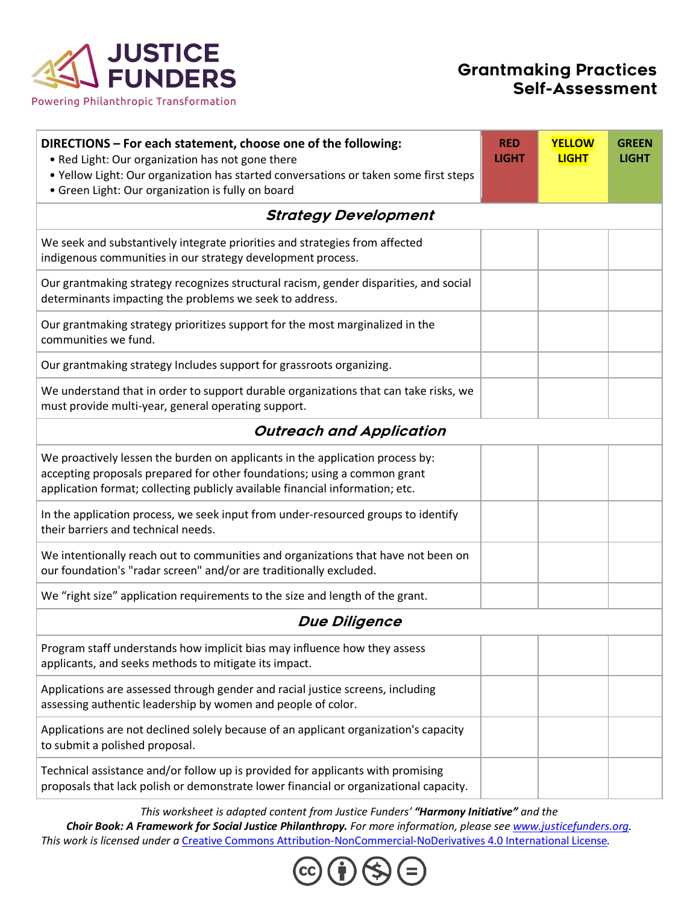

## Grantmaking Practices Self-Assessment

| DIRECTIONS - For each statement, choose one of the following:<br>. Red Light: Our organization has not gone there                                                                                                                          | <b>RED</b><br><b>LIGHT</b> | <b>YELLOW</b><br><b>LIGHT</b> | <b>GREEN</b><br><b>LIGHT</b> |  |
|--------------------------------------------------------------------------------------------------------------------------------------------------------------------------------------------------------------------------------------------|----------------------------|-------------------------------|------------------------------|--|
| . Yellow Light: Our organization has started conversations or taken some first steps<br>• Green Light: Our organization is fully on board                                                                                                  |                            |                               |                              |  |
| <b>Strategy Development</b>                                                                                                                                                                                                                |                            |                               |                              |  |
| We seek and substantively integrate priorities and strategies from affected<br>indigenous communities in our strategy development process.                                                                                                 |                            |                               |                              |  |
| Our grantmaking strategy recognizes structural racism, gender disparities, and social<br>determinants impacting the problems we seek to address.                                                                                           |                            |                               |                              |  |
| Our grantmaking strategy prioritizes support for the most marginalized in the<br>communities we fund.                                                                                                                                      |                            |                               |                              |  |
| Our grantmaking strategy Includes support for grassroots organizing.                                                                                                                                                                       |                            |                               |                              |  |
| We understand that in order to support durable organizations that can take risks, we<br>must provide multi-year, general operating support.                                                                                                |                            |                               |                              |  |
| <b>Outreach and Application</b>                                                                                                                                                                                                            |                            |                               |                              |  |
| We proactively lessen the burden on applicants in the application process by:<br>accepting proposals prepared for other foundations; using a common grant<br>application format; collecting publicly available financial information; etc. |                            |                               |                              |  |
| In the application process, we seek input from under-resourced groups to identify<br>their barriers and technical needs.                                                                                                                   |                            |                               |                              |  |
| We intentionally reach out to communities and organizations that have not been on<br>our foundation's "radar screen" and/or are traditionally excluded.                                                                                    |                            |                               |                              |  |
| We "right size" application requirements to the size and length of the grant.                                                                                                                                                              |                            |                               |                              |  |
| <b>Due Diligence</b>                                                                                                                                                                                                                       |                            |                               |                              |  |
| Program staff understands how implicit bias may influence how they assess<br>applicants, and seeks methods to mitigate its impact.                                                                                                         |                            |                               |                              |  |
| Applications are assessed through gender and racial justice screens, including<br>assessing authentic leadership by women and people of color.                                                                                             |                            |                               |                              |  |
| Applications are not declined solely because of an applicant organization's capacity<br>to submit a polished proposal.                                                                                                                     |                            |                               |                              |  |
| Technical assistance and/or follow up is provided for applicants with promising<br>proposals that lack polish or demonstrate lower financial or organizational capacity.                                                                   |                            |                               |                              |  |

*This worksheet is adapted content from Justice Funders' "Harmony Initiative" and the* 

*Choir Book: A Framework for Social Justice Philanthropy. For more information, please see www.justicefunders.org. This work is licensed under a* Creative Commons Attribution-NonCommercial-NoDerivatives 4.0 International License*.*